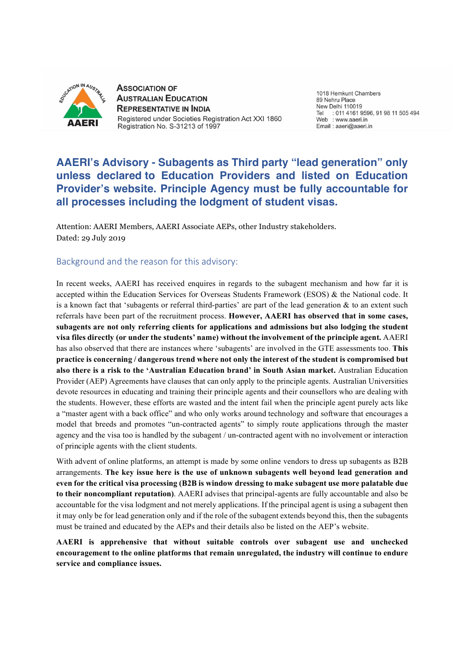

**ASSOCIATION OF AUSTRALIAN EDUCATION REPRESENTATIVE IN INDIA** Registered under Societies Registration Act XXI 1860 Registration No. S-31213 of 1997

1018 Hemkunt Chambers 89 Nehru Place New Delhi 110019 : 011 4161 9596, 91 98 11 505 494 Tel Web : www.aaeri.in Email: aaeri@aaeri.in

# **AAERI's Advisory - Subagents as Third party "lead generation" only unless declared to Education Providers and listed on Education Provider's website. Principle Agency must be fully accountable for all processes including the lodgment of student visas.**

Attention: AAERI Members, AAERI Associate AEPs, other Industry stakeholders. Dated: 29 July 2019

# Background and the reason for this advisory:

In recent weeks, AAERI has received enquires in regards to the subagent mechanism and how far it is accepted within the Education Services for Overseas Students Framework (ESOS) & the National code. It is a known fact that 'subagents or referral third-parties' are part of the lead generation & to an extent such referrals have been part of the recruitment process. **However, AAERI has observed that in some cases, subagents are not only referring clients for applications and admissions but also lodging the student visa files directly (or under the students' name) without the involvement of the principle agent.** AAERI has also observed that there are instances where 'subagents' are involved in the GTE assessments too. **This practice is concerning / dangerous trend where not only the interest of the student is compromised but also there is a risk to the 'Australian Education brand' in South Asian market.** Australian Education Provider (AEP) Agreements have clauses that can only apply to the principle agents. Australian Universities devote resources in educating and training their principle agents and their counsellors who are dealing with the students. However, these efforts are wasted and the intent fail when the principle agent purely acts like a "master agent with a back office" and who only works around technology and software that encourages a model that breeds and promotes "un-contracted agents" to simply route applications through the master agency and the visa too is handled by the subagent / un-contracted agent with no involvement or interaction of principle agents with the client students.

With advent of online platforms, an attempt is made by some online vendors to dress up subagents as B2B arrangements. **The key issue here is the use of unknown subagents well beyond lead generation and even for the critical visa processing (B2B is window dressing to make subagent use more palatable due to their noncompliant reputation)**. AAERI advises that principal-agents are fully accountable and also be accountable for the visa lodgment and not merely applications. If the principal agent is using a subagent then it may only be for lead generation only and if the role of the subagent extends beyond this, then the subagents must be trained and educated by the AEPs and their details also be listed on the AEP's website.

**AAERI is apprehensive that without suitable controls over subagent use and unchecked encouragement to the online platforms that remain unregulated, the industry will continue to endure service and compliance issues.**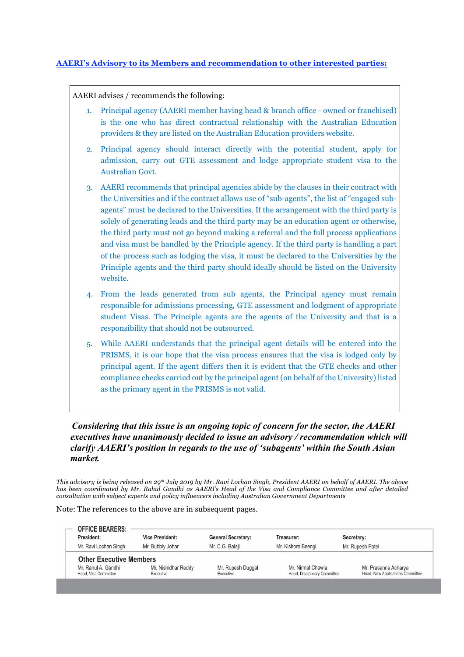## **AAERI's Advisory to its Members and recommendation to other interested parties:**

AAERI advises / recommends the following:

- 1. Principal agency (AAERI member having head & branch office owned or franchised) is the one who has direct contractual relationship with the Australian Education providers & they are listed on the Australian Education providers website.
- 2. Principal agency should interact directly with the potential student, apply for admission, carry out GTE assessment and lodge appropriate student visa to the Australian Govt.
- 3. AAERI recommends that principal agencies abide by the clauses in their contract with the Universities and if the contract allows use of "sub-agents", the list of "engaged subagents" must be declared to the Universities. If the arrangement with the third party is solely of generating leads and the third party may be an education agent or otherwise, the third party must not go beyond making a referral and the full process applications and visa must be handled by the Principle agency. If the third party is handling a part of the process such as lodging the visa, it must be declared to the Universities by the Principle agents and the third party should ideally should be listed on the University website.
- 4. From the leads generated from sub agents, the Principal agency must remain responsible for admissions processing, GTE assessment and lodgment of appropriate student Visas. The Principle agents are the agents of the University and that is a responsibility that should not be outsourced.
- 5. While AAERI understands that the principal agent details will be entered into the PRISMS, it is our hope that the visa process ensures that the visa is lodged only by principal agent. If the agent differs then it is evident that the GTE checks and other compliance checks carried out by the principal agent (on behalf of the University) listed as the primary agent in the PRISMS is not valid.

*Considering that this issue is an ongoing topic of concern for the sector, the AAERI executives have unanimously decided to issue an advisory / recommendation which will clarify AAERI's position in regards to the use of 'subagents' within the South Asian market.*

This advisory is being released on 29th July 2019 by Mr. Ravi Lochan Singh, President AAERI on behalf of AAERI. The above has been coordinated by Mr. Rahul Gandhi as AAERI's Head of the Visa and Compliance Committee and after detailed *consultation with subject experts and policy influencers including Australian Government Departments*

Note: The references to the above are in subsequent pages.

| <b>OFFICE BEARERS:</b>                      |                                  |                                |                                                   |                                                          |
|---------------------------------------------|----------------------------------|--------------------------------|---------------------------------------------------|----------------------------------------------------------|
| President:                                  | <b>Vice President:</b>           | <b>General Secretary:</b>      | Treasurer:                                        | Secretary:                                               |
| Mr. Ravi Lochan Singh                       | Mr. Bubbly Johar                 | Mr. C.G. Balaji                | Mr. Kishore Beengi                                | Mr. Rupesh Patel                                         |
| <b>Other Executive Members</b>              |                                  |                                |                                                   |                                                          |
| Mr. Rahul A. Gandhi<br>Head, Visa Committee | Mr. Nishidhar Reddy<br>Executive | Mr. Rupesh Duggal<br>Executive | Mr. Nirmal Chawla<br>Head, Disciplinary Committee | Mr. Prasanna Acharya<br>Head, New Applications Committee |